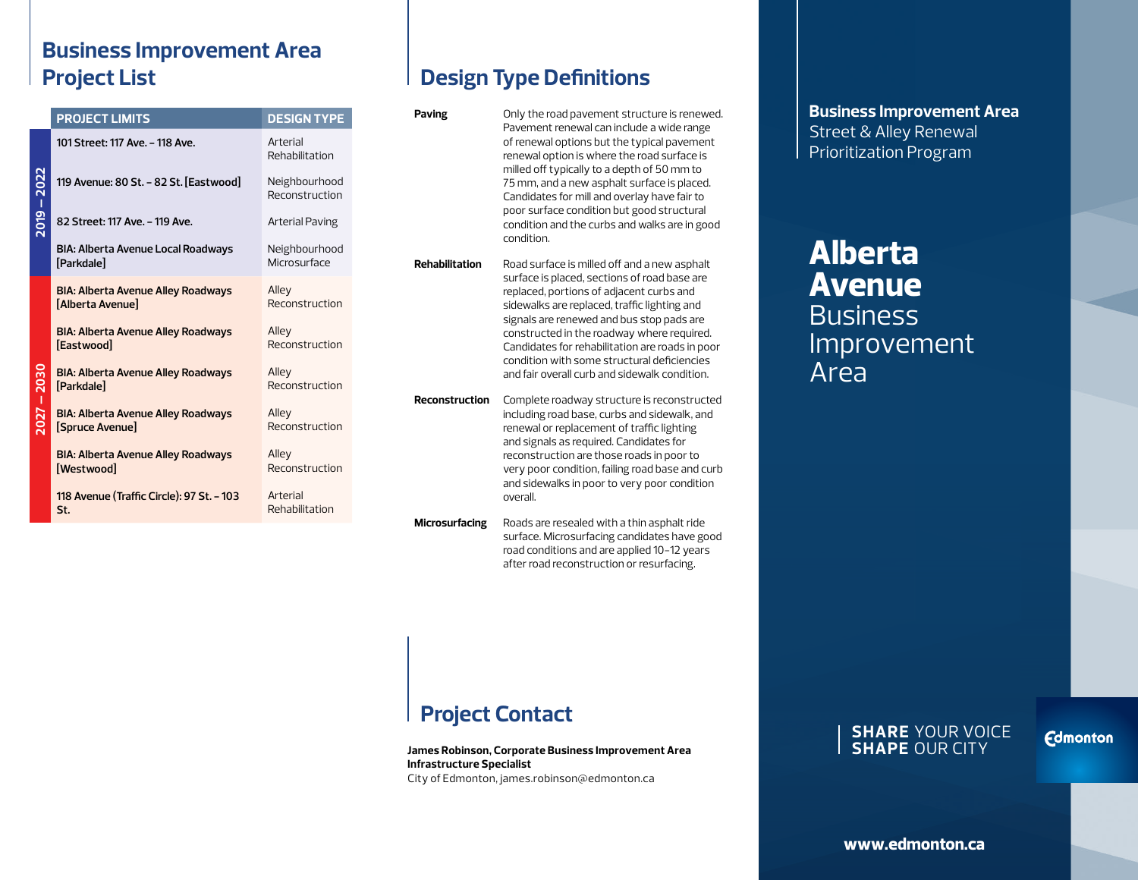#### **Business Improvement Area Project List**

|          | <b>PROJECT LIMITS</b>                                          | <b>DESIGN TYPE</b>              |
|----------|----------------------------------------------------------------|---------------------------------|
|          | 101 Street: 117 Ave. - 118 Ave.                                | Arterial<br>Rehabilitation      |
|          | 119 Avenue: 80 St. - 82 St. [Eastwood]                         | Neighbourhood<br>Reconstruction |
| 2019 – 2 | 82 Street: 117 Ave. - 119 Ave.                                 | Arterial Paving                 |
|          | BIA: Alberta Avenue Local Roadways<br>[Parkdale]               | Neighbourhood<br>Microsurface   |
|          | <b>BIA: Alberta Avenue Alley Roadways</b><br>[Alberta Avenue]  | Alley<br>Reconstruction         |
| $-2030$  | <b>BIA: Alberta Avenue Alley Roadways</b><br><b>[Eastwood]</b> | Alley<br>Reconstruction         |
|          | <b>BIA: Alberta Avenue Alley Roadways</b><br>[Parkdale]        | Alley<br>Reconstruction         |
|          | <b>BIA: Alberta Avenue Alley Roadways</b><br>[Spruce Avenue]   | Alley<br>Reconstruction         |
|          | <b>BIA: Alberta Avenue Alley Roadways</b><br>[Westwood]        | Alley<br>Reconstruction         |
|          | 118 Avenue (Traffic Circle): 97 St. - 103<br>St.               | Arterial<br>Rehabilitation      |

## **Design Type Definitions**

| Paving                | Only the road pavement structure is renewed.<br>Pavement renewal can include a wide range<br>of renewal options but the typical pavement<br>renewal option is where the road surface is<br>milled off typically to a depth of 50 mm to<br>75 mm, and a new asphalt surface is placed.<br>Candidates for mill and overlay have fair to<br>poor surface condition but good structural<br>condition and the curbs and walks are in good<br>condition. |
|-----------------------|----------------------------------------------------------------------------------------------------------------------------------------------------------------------------------------------------------------------------------------------------------------------------------------------------------------------------------------------------------------------------------------------------------------------------------------------------|
| <b>Rehabilitation</b> | Road surface is milled off and a new asphalt<br>surface is placed, sections of road base are<br>replaced, portions of adjacent curbs and<br>sidewalks are replaced, traffic lighting and<br>signals are renewed and bus stop pads are<br>constructed in the roadway where required.<br>Candidates for rehabilitation are roads in poor<br>condition with some structural deficiencies<br>and fair overall curb and sidewalk condition.             |
| <b>Reconstruction</b> | Complete roadway structure is reconstructed<br>including road base, curbs and sidewalk, and<br>renewal or replacement of traffic lighting<br>and signals as required. Candidates for<br>reconstruction are those roads in poor to<br>very poor condition, failing road base and curb<br>and sidewalks in poor to very poor condition<br>overall.                                                                                                   |
| <b>Microsurfacing</b> | Roads are resealed with a thin asphalt ride<br>surface. Microsurfacing candidates have good<br>road conditions and are applied 10-12 years                                                                                                                                                                                                                                                                                                         |

after road reconstruction or resurfacing.

**Business Improvement Area** Street & Alley Renewal Prioritization Program

# **Alberta Avenue Business** Improvement Area

### **Project Contact**

**James Robinson, Corporate Business Improvement Area Infrastructure Specialist** City of Edmonton, james.robinson@edmonton.ca

#### **SHARE** YOUR VOICE **SHAPE** OUR CITY

**Edmonton** 

**www.edmonton.ca**